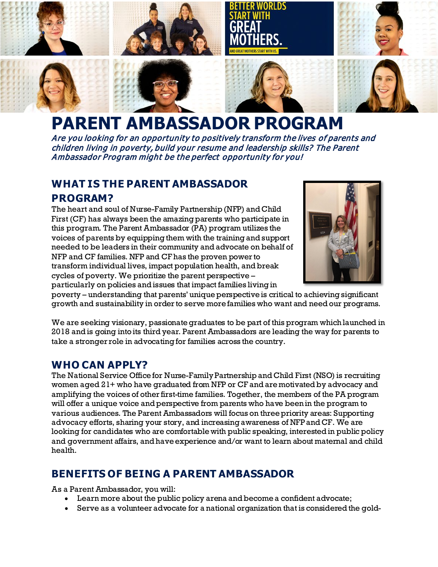

# **PARENT AMBASSADOR PROGRAM**

Are you looking for an opportunity to positively transform the lives of parents and children living in poverty, build your resume and leadership skills? The Parent Ambassador Program might be the perfect opportunity for you!

## **WHAT IS THE PARENT AMBASSADOR PROGRAM?**

The heart and soul of Nurse-Family Partnership (NFP) and Child First (CF) has always been the amazing parents who participate in this program. The Parent Ambassador (PA) program utilizes the voices of parents by equipping them with the training and support needed to be leaders in their community and advocate on behalf of NFP and CF families. NFP and CF has the proven power to transform individual lives, impact population health, and break cycles of poverty. We prioritize the parent perspective – particularly on policies and issues that impact families living in



poverty – understanding that parents' unique perspective is critical to achieving significant growth and sustainability in order to serve more families who want and need our programs.

We are seeking visionary, passionate graduates to be part of this program which launched in 2018 and is going into its thirdyear. Parent Ambassadors are leading the way for parents to take a stronger role in advocating for families across the country.

#### **WHO CAN APPLY?**

The National Service Office for Nurse-Family Partnership and Child First (NSO) is recruiting women aged 21+ who have graduated from NFP or CF and are motivated by advocacy and amplifying the voices of other first-time families. Together, the members of the PA program will offer a unique voice and perspective from parents who have been in the program to various audiences. The Parent Ambassadors will focus on three priority areas: Supporting advocacy efforts, sharing your story, and increasing awareness of NFPand CF. We are looking for candidates who are comfortable with public speaking, interested in public policy and government affairs, and have experience and/or want to learn about maternal and child health.

### **BENEFITS OF BEING A PARENT AMBASSADOR**

As a Parent Ambassador, you will:

- Learn more about the public policy arena and become a confident advocate;
- Serve as a volunteer advocate for a national organization that is considered the gold-